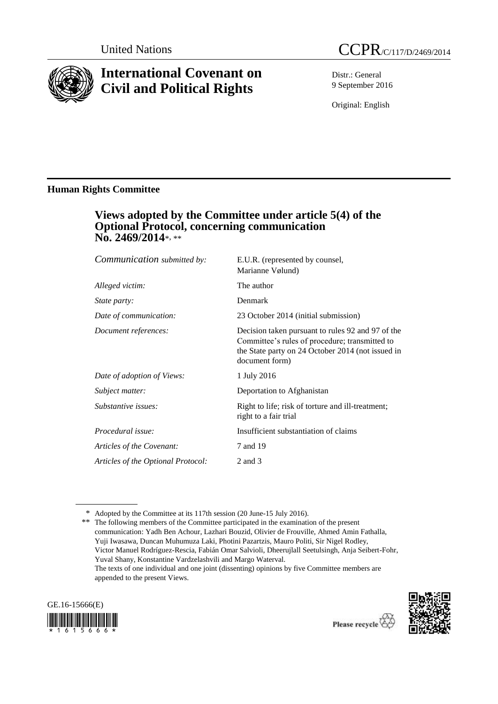

# **International Covenant on Civil and Political Rights**

Distr.: General 9 September 2016

Original: English

# **Human Rights Committee**

# **Views adopted by the Committee under article 5(4) of the Optional Protocol, concerning communication No. 2469/2014**\*, \*\*

| Communication submitted by:        | E.U.R. (represented by counsel,<br>Marianne Vølund)                                                                                                                        |
|------------------------------------|----------------------------------------------------------------------------------------------------------------------------------------------------------------------------|
| Alleged victim:                    | The author                                                                                                                                                                 |
| <i>State party:</i>                | Denmark                                                                                                                                                                    |
| Date of communication:             | 23 October 2014 (initial submission)                                                                                                                                       |
| Document references:               | Decision taken pursuant to rules 92 and 97 of the<br>Committee's rules of procedure; transmitted to<br>the State party on 24 October 2014 (not issued in<br>document form) |
| Date of adoption of Views:         | 1 July 2016                                                                                                                                                                |
| Subject matter:                    | Deportation to Afghanistan                                                                                                                                                 |
| Substantive issues:                | Right to life; risk of torture and ill-treatment;<br>right to a fair trial                                                                                                 |
| Procedural issue:                  | Insufficient substantiation of claims                                                                                                                                      |
| Articles of the Covenant:          | 7 and 19                                                                                                                                                                   |
| Articles of the Optional Protocol: | 2 and 3                                                                                                                                                                    |

<sup>\*\*</sup> The following members of the Committee participated in the examination of the present communication: Yadh Ben Achour, Lazhari Bouzid, Olivier de Frouville, Ahmed Amin Fathalla, Yuji Iwasawa, Duncan Muhumuza Laki, Photini Pazartzis, Mauro Politi, Sir Nigel Rodley, Victor Manuel Rodríguez-Rescia, Fabián Omar Salvioli, Dheerujlall Seetulsingh, Anja Seibert-Fohr, Yuval Shany, Konstantine Vardzelashvili and Margo Waterval. The texts of one individual and one joint (dissenting) opinions by five Committee members are appended to the present Views.





<sup>\*</sup> Adopted by the Committee at its 117th session (20 June-15 July 2016).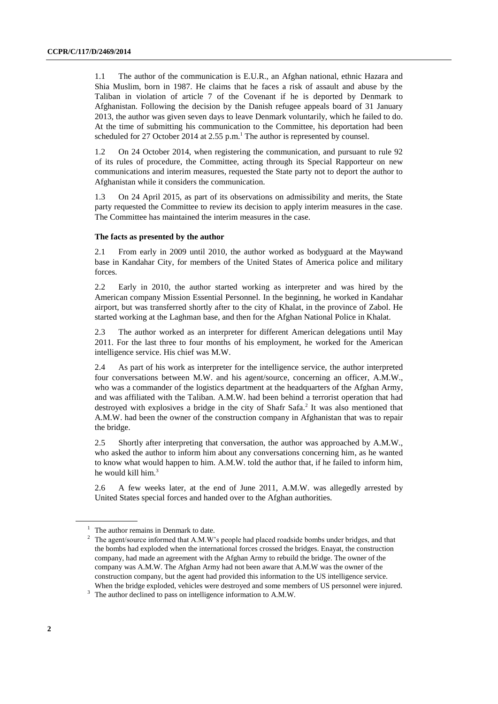1.1 The author of the communication is E.U.R., an Afghan national, ethnic Hazara and Shia Muslim, born in 1987. He claims that he faces a risk of assault and abuse by the Taliban in violation of article 7 of the Covenant if he is deported by Denmark to Afghanistan. Following the decision by the Danish refugee appeals board of 31 January 2013, the author was given seven days to leave Denmark voluntarily, which he failed to do. At the time of submitting his communication to the Committee, his deportation had been scheduled for 27 October 2014 at 2.55 p.m.<sup>1</sup> The author is represented by counsel.

1.2 On 24 October 2014, when registering the communication, and pursuant to rule 92 of its rules of procedure, the Committee, acting through its Special Rapporteur on new communications and interim measures, requested the State party not to deport the author to Afghanistan while it considers the communication.

1.3 On 24 April 2015, as part of its observations on admissibility and merits, the State party requested the Committee to review its decision to apply interim measures in the case. The Committee has maintained the interim measures in the case.

#### **The facts as presented by the author**

2.1 From early in 2009 until 2010, the author worked as bodyguard at the Maywand base in Kandahar City, for members of the United States of America police and military forces.

2.2 Early in 2010, the author started working as interpreter and was hired by the American company Mission Essential Personnel. In the beginning, he worked in Kandahar airport, but was transferred shortly after to the city of Khalat, in the province of Zabol. He started working at the Laghman base, and then for the Afghan National Police in Khalat.

2.3 The author worked as an interpreter for different American delegations until May 2011. For the last three to four months of his employment, he worked for the American intelligence service. His chief was M.W.

2.4 As part of his work as interpreter for the intelligence service, the author interpreted four conversations between M.W. and his agent/source, concerning an officer, A.M.W., who was a commander of the logistics department at the headquarters of the Afghan Army, and was affiliated with the Taliban. A.M.W. had been behind a terrorist operation that had destroyed with explosives a bridge in the city of Shafr Safa. 2 It was also mentioned that A.M.W. had been the owner of the construction company in Afghanistan that was to repair the bridge.

2.5 Shortly after interpreting that conversation, the author was approached by A.M.W., who asked the author to inform him about any conversations concerning him, as he wanted to know what would happen to him. A.M.W. told the author that, if he failed to inform him, he would kill him.<sup>3</sup>

2.6 A few weeks later, at the end of June 2011, A.M.W. was allegedly arrested by United States special forces and handed over to the Afghan authorities.

<sup>3</sup> The author declined to pass on intelligence information to A.M.W.

 $1$  The author remains in Denmark to date.

<sup>&</sup>lt;sup>2</sup> The agent/source informed that A.M.W's people had placed roadside bombs under bridges, and that the bombs had exploded when the international forces crossed the bridges. Enayat, the construction company, had made an agreement with the Afghan Army to rebuild the bridge. The owner of the company was A.M.W. The Afghan Army had not been aware that A.M.W was the owner of the construction company, but the agent had provided this information to the US intelligence service. When the bridge exploded, vehicles were destroyed and some members of US personnel were injured.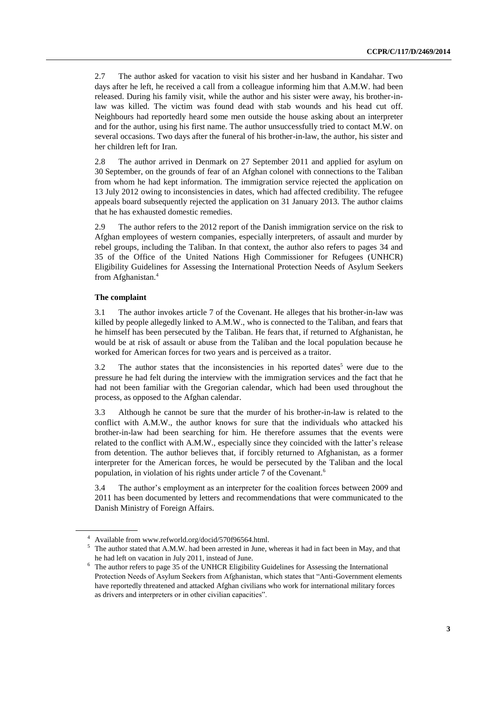2.7 The author asked for vacation to visit his sister and her husband in Kandahar. Two days after he left, he received a call from a colleague informing him that A.M.W. had been released. During his family visit, while the author and his sister were away, his brother-inlaw was killed. The victim was found dead with stab wounds and his head cut off. Neighbours had reportedly heard some men outside the house asking about an interpreter and for the author, using his first name. The author unsuccessfully tried to contact M.W. on several occasions. Two days after the funeral of his brother-in-law, the author, his sister and her children left for Iran.

2.8 The author arrived in Denmark on 27 September 2011 and applied for asylum on 30 September, on the grounds of fear of an Afghan colonel with connections to the Taliban from whom he had kept information. The immigration service rejected the application on 13 July 2012 owing to inconsistencies in dates, which had affected credibility. The refugee appeals board subsequently rejected the application on 31 January 2013. The author claims that he has exhausted domestic remedies.

2.9 The author refers to the 2012 report of the Danish immigration service on the risk to Afghan employees of western companies, especially interpreters, of assault and murder by rebel groups, including the Taliban. In that context, the author also refers to pages 34 and 35 of the Office of the United Nations High Commissioner for Refugees (UNHCR) Eligibility Guidelines for Assessing the International Protection Needs of Asylum Seekers from Afghanistan. 4

#### **The complaint**

3.1 The author invokes article 7 of the Covenant. He alleges that his brother-in-law was killed by people allegedly linked to A.M.W., who is connected to the Taliban, and fears that he himself has been persecuted by the Taliban. He fears that, if returned to Afghanistan, he would be at risk of assault or abuse from the Taliban and the local population because he worked for American forces for two years and is perceived as a traitor.

3.2 The author states that the inconsistencies in his reported dates<sup>5</sup> were due to the pressure he had felt during the interview with the immigration services and the fact that he had not been familiar with the Gregorian calendar, which had been used throughout the process, as opposed to the Afghan calendar.

3.3 Although he cannot be sure that the murder of his brother-in-law is related to the conflict with A.M.W., the author knows for sure that the individuals who attacked his brother-in-law had been searching for him. He therefore assumes that the events were related to the conflict with A.M.W., especially since they coincided with the latter's release from detention. The author believes that, if forcibly returned to Afghanistan, as a former interpreter for the American forces, he would be persecuted by the Taliban and the local population, in violation of his rights under article 7 of the Covenant.<sup>6</sup>

3.4 The author's employment as an interpreter for the coalition forces between 2009 and 2011 has been documented by letters and recommendations that were communicated to the Danish Ministry of Foreign Affairs.

<sup>4</sup> Available from www.refworld.org/docid/570f96564.html.

<sup>5</sup> The author stated that A.M.W. had been arrested in June, whereas it had in fact been in May, and that he had left on vacation in July 2011, instead of June.

<sup>6</sup> The author refers to page 35 of the UNHCR Eligibility Guidelines for Assessing the International Protection Needs of Asylum Seekers from Afghanistan, which states that "Anti-Government elements have reportedly threatened and attacked Afghan civilians who work for international military forces as drivers and interpreters or in other civilian capacities".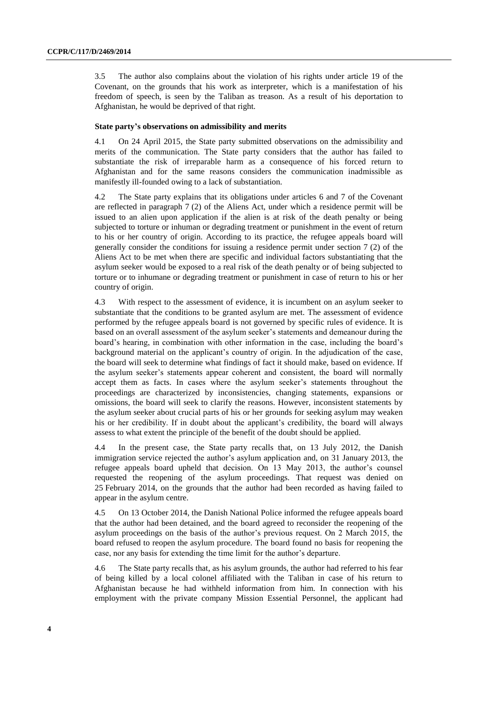3.5 The author also complains about the violation of his rights under article 19 of the Covenant, on the grounds that his work as interpreter, which is a manifestation of his freedom of speech, is seen by the Taliban as treason. As a result of his deportation to Afghanistan, he would be deprived of that right.

#### **State party's observations on admissibility and merits**

4.1 On 24 April 2015, the State party submitted observations on the admissibility and merits of the communication. The State party considers that the author has failed to substantiate the risk of irreparable harm as a consequence of his forced return to Afghanistan and for the same reasons considers the communication inadmissible as manifestly ill-founded owing to a lack of substantiation.

4.2 The State party explains that its obligations under articles 6 and 7 of the Covenant are reflected in paragraph 7 (2) of the Aliens Act, under which a residence permit will be issued to an alien upon application if the alien is at risk of the death penalty or being subjected to torture or inhuman or degrading treatment or punishment in the event of return to his or her country of origin. According to its practice, the refugee appeals board will generally consider the conditions for issuing a residence permit under section 7 (2) of the Aliens Act to be met when there are specific and individual factors substantiating that the asylum seeker would be exposed to a real risk of the death penalty or of being subjected to torture or to inhumane or degrading treatment or punishment in case of return to his or her country of origin.

4.3 With respect to the assessment of evidence, it is incumbent on an asylum seeker to substantiate that the conditions to be granted asylum are met. The assessment of evidence performed by the refugee appeals board is not governed by specific rules of evidence. It is based on an overall assessment of the asylum seeker's statements and demeanour during the board's hearing, in combination with other information in the case, including the board's background material on the applicant's country of origin. In the adjudication of the case, the board will seek to determine what findings of fact it should make, based on evidence. If the asylum seeker's statements appear coherent and consistent, the board will normally accept them as facts. In cases where the asylum seeker's statements throughout the proceedings are characterized by inconsistencies, changing statements, expansions or omissions, the board will seek to clarify the reasons. However, inconsistent statements by the asylum seeker about crucial parts of his or her grounds for seeking asylum may weaken his or her credibility. If in doubt about the applicant's credibility, the board will always assess to what extent the principle of the benefit of the doubt should be applied.

4.4 In the present case, the State party recalls that, on 13 July 2012, the Danish immigration service rejected the author's asylum application and, on 31 January 2013, the refugee appeals board upheld that decision. On 13 May 2013, the author's counsel requested the reopening of the asylum proceedings. That request was denied on 25 February 2014, on the grounds that the author had been recorded as having failed to appear in the asylum centre.

4.5 On 13 October 2014, the Danish National Police informed the refugee appeals board that the author had been detained, and the board agreed to reconsider the reopening of the asylum proceedings on the basis of the author's previous request. On 2 March 2015, the board refused to reopen the asylum procedure. The board found no basis for reopening the case, nor any basis for extending the time limit for the author's departure.

4.6 The State party recalls that, as his asylum grounds, the author had referred to his fear of being killed by a local colonel affiliated with the Taliban in case of his return to Afghanistan because he had withheld information from him. In connection with his employment with the private company Mission Essential Personnel, the applicant had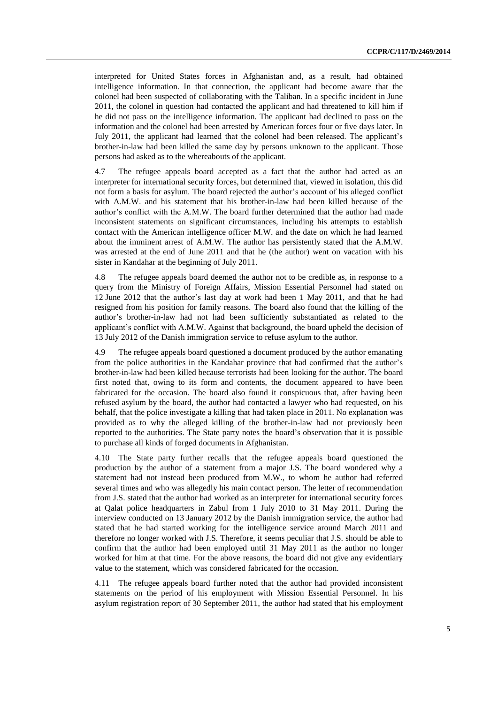interpreted for United States forces in Afghanistan and, as a result, had obtained intelligence information. In that connection, the applicant had become aware that the colonel had been suspected of collaborating with the Taliban. In a specific incident in June 2011, the colonel in question had contacted the applicant and had threatened to kill him if he did not pass on the intelligence information. The applicant had declined to pass on the information and the colonel had been arrested by American forces four or five days later. In July 2011, the applicant had learned that the colonel had been released. The applicant's brother-in-law had been killed the same day by persons unknown to the applicant. Those persons had asked as to the whereabouts of the applicant.

4.7 The refugee appeals board accepted as a fact that the author had acted as an interpreter for international security forces, but determined that, viewed in isolation, this did not form a basis for asylum. The board rejected the author's account of his alleged conflict with A.M.W. and his statement that his brother-in-law had been killed because of the author's conflict with the A.M.W. The board further determined that the author had made inconsistent statements on significant circumstances, including his attempts to establish contact with the American intelligence officer M.W. and the date on which he had learned about the imminent arrest of A.M.W. The author has persistently stated that the A.M.W. was arrested at the end of June 2011 and that he (the author) went on vacation with his sister in Kandahar at the beginning of July 2011.

4.8 The refugee appeals board deemed the author not to be credible as, in response to a query from the Ministry of Foreign Affairs, Mission Essential Personnel had stated on 12 June 2012 that the author's last day at work had been 1 May 2011, and that he had resigned from his position for family reasons. The board also found that the killing of the author's brother-in-law had not had been sufficiently substantiated as related to the applicant's conflict with A.M.W. Against that background, the board upheld the decision of 13 July 2012 of the Danish immigration service to refuse asylum to the author.

4.9 The refugee appeals board questioned a document produced by the author emanating from the police authorities in the Kandahar province that had confirmed that the author's brother-in-law had been killed because terrorists had been looking for the author. The board first noted that, owing to its form and contents, the document appeared to have been fabricated for the occasion. The board also found it conspicuous that, after having been refused asylum by the board, the author had contacted a lawyer who had requested, on his behalf, that the police investigate a killing that had taken place in 2011. No explanation was provided as to why the alleged killing of the brother-in-law had not previously been reported to the authorities. The State party notes the board's observation that it is possible to purchase all kinds of forged documents in Afghanistan.

4.10 The State party further recalls that the refugee appeals board questioned the production by the author of a statement from a major J.S. The board wondered why a statement had not instead been produced from M.W., to whom he author had referred several times and who was allegedly his main contact person. The letter of recommendation from J.S. stated that the author had worked as an interpreter for international security forces at Qalat police headquarters in Zabul from 1 July 2010 to 31 May 2011. During the interview conducted on 13 January 2012 by the Danish immigration service, the author had stated that he had started working for the intelligence service around March 2011 and therefore no longer worked with J.S. Therefore, it seems peculiar that J.S. should be able to confirm that the author had been employed until 31 May 2011 as the author no longer worked for him at that time. For the above reasons, the board did not give any evidentiary value to the statement, which was considered fabricated for the occasion.

4.11 The refugee appeals board further noted that the author had provided inconsistent statements on the period of his employment with Mission Essential Personnel. In his asylum registration report of 30 September 2011, the author had stated that his employment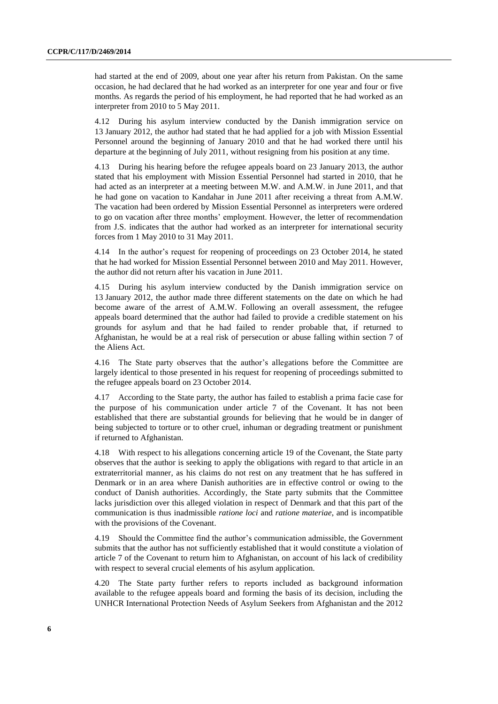had started at the end of 2009, about one year after his return from Pakistan. On the same occasion, he had declared that he had worked as an interpreter for one year and four or five months. As regards the period of his employment, he had reported that he had worked as an interpreter from 2010 to 5 May 2011.

4.12 During his asylum interview conducted by the Danish immigration service on 13 January 2012, the author had stated that he had applied for a job with Mission Essential Personnel around the beginning of January 2010 and that he had worked there until his departure at the beginning of July 2011, without resigning from his position at any time.

4.13 During his hearing before the refugee appeals board on 23 January 2013, the author stated that his employment with Mission Essential Personnel had started in 2010, that he had acted as an interpreter at a meeting between M.W. and A.M.W. in June 2011, and that he had gone on vacation to Kandahar in June 2011 after receiving a threat from A.M.W. The vacation had been ordered by Mission Essential Personnel as interpreters were ordered to go on vacation after three months' employment. However, the letter of recommendation from J.S. indicates that the author had worked as an interpreter for international security forces from 1 May 2010 to 31 May 2011.

4.14 In the author's request for reopening of proceedings on 23 October 2014, he stated that he had worked for Mission Essential Personnel between 2010 and May 2011. However, the author did not return after his vacation in June 2011.

4.15 During his asylum interview conducted by the Danish immigration service on 13 January 2012, the author made three different statements on the date on which he had become aware of the arrest of A.M.W. Following an overall assessment, the refugee appeals board determined that the author had failed to provide a credible statement on his grounds for asylum and that he had failed to render probable that, if returned to Afghanistan, he would be at a real risk of persecution or abuse falling within section 7 of the Aliens Act.

4.16 The State party observes that the author's allegations before the Committee are largely identical to those presented in his request for reopening of proceedings submitted to the refugee appeals board on 23 October 2014.

4.17 According to the State party, the author has failed to establish a prima facie case for the purpose of his communication under article 7 of the Covenant. It has not been established that there are substantial grounds for believing that he would be in danger of being subjected to torture or to other cruel, inhuman or degrading treatment or punishment if returned to Afghanistan.

4.18 With respect to his allegations concerning article 19 of the Covenant, the State party observes that the author is seeking to apply the obligations with regard to that article in an extraterritorial manner, as his claims do not rest on any treatment that he has suffered in Denmark or in an area where Danish authorities are in effective control or owing to the conduct of Danish authorities. Accordingly, the State party submits that the Committee lacks jurisdiction over this alleged violation in respect of Denmark and that this part of the communication is thus inadmissible *ratione loci* and *ratione materiae*, and is incompatible with the provisions of the Covenant.

4.19 Should the Committee find the author's communication admissible, the Government submits that the author has not sufficiently established that it would constitute a violation of article 7 of the Covenant to return him to Afghanistan, on account of his lack of credibility with respect to several crucial elements of his asylum application.

4.20 The State party further refers to reports included as background information available to the refugee appeals board and forming the basis of its decision, including the UNHCR International Protection Needs of Asylum Seekers from Afghanistan and the 2012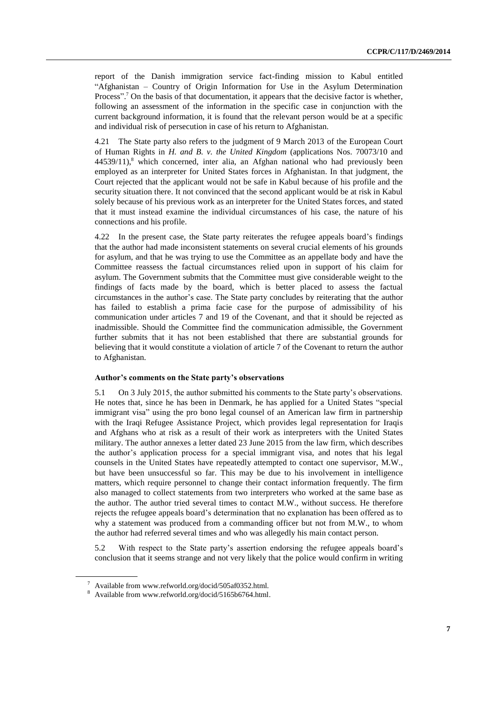report of the Danish immigration service fact-finding mission to Kabul entitled "Afghanistan – Country of Origin Information for Use in the Asylum Determination Process".<sup>7</sup> On the basis of that documentation, it appears that the decisive factor is whether, following an assessment of the information in the specific case in conjunction with the current background information, it is found that the relevant person would be at a specific and individual risk of persecution in case of his return to Afghanistan.

4.21 The State party also refers to the judgment of 9 March 2013 of the European Court of Human Rights in *H. and B. v. the United Kingdom* (applications Nos. 70073/10 and  $44539/11$ <sup>8</sup>, which concerned, inter alia, an Afghan national who had previously been employed as an interpreter for United States forces in Afghanistan. In that judgment, the Court rejected that the applicant would not be safe in Kabul because of his profile and the security situation there. It not convinced that the second applicant would be at risk in Kabul solely because of his previous work as an interpreter for the United States forces, and stated that it must instead examine the individual circumstances of his case, the nature of his connections and his profile.

4.22 In the present case, the State party reiterates the refugee appeals board's findings that the author had made inconsistent statements on several crucial elements of his grounds for asylum, and that he was trying to use the Committee as an appellate body and have the Committee reassess the factual circumstances relied upon in support of his claim for asylum. The Government submits that the Committee must give considerable weight to the findings of facts made by the board, which is better placed to assess the factual circumstances in the author's case. The State party concludes by reiterating that the author has failed to establish a prima facie case for the purpose of admissibility of his communication under articles 7 and 19 of the Covenant, and that it should be rejected as inadmissible. Should the Committee find the communication admissible, the Government further submits that it has not been established that there are substantial grounds for believing that it would constitute a violation of article 7 of the Covenant to return the author to Afghanistan.

#### **Author's comments on the State party's observations**

5.1 On 3 July 2015, the author submitted his comments to the State party's observations. He notes that, since he has been in Denmark, he has applied for a United States "special immigrant visa" using the pro bono legal counsel of an American law firm in partnership with the Iraqi Refugee Assistance Project, which provides legal representation for Iraqis and Afghans who at risk as a result of their work as interpreters with the United States military. The author annexes a letter dated 23 June 2015 from the law firm, which describes the author's application process for a special immigrant visa, and notes that his legal counsels in the United States have repeatedly attempted to contact one supervisor, M.W., but have been unsuccessful so far. This may be due to his involvement in intelligence matters, which require personnel to change their contact information frequently. The firm also managed to collect statements from two interpreters who worked at the same base as the author. The author tried several times to contact M.W., without success. He therefore rejects the refugee appeals board's determination that no explanation has been offered as to why a statement was produced from a commanding officer but not from M.W., to whom the author had referred several times and who was allegedly his main contact person.

5.2 With respect to the State party's assertion endorsing the refugee appeals board's conclusion that it seems strange and not very likely that the police would confirm in writing

<sup>7</sup> Available from www.refworld.org/docid/505af0352.html.

<sup>8</sup> Available from www.refworld.org/docid/5165b6764.html.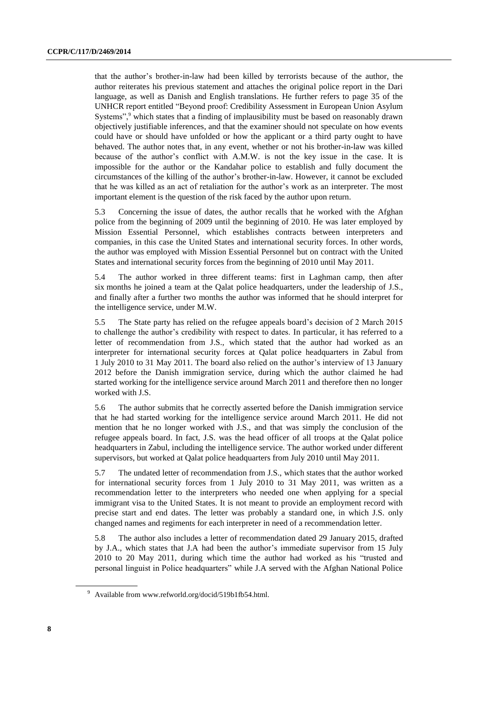that the author's brother-in-law had been killed by terrorists because of the author, the author reiterates his previous statement and attaches the original police report in the Dari language, as well as Danish and English translations. He further refers to page 35 of the UNHCR report entitled "Beyond proof: Credibility Assessment in European Union Asylum Systems", $9$  which states that a finding of implausibility must be based on reasonably drawn objectively justifiable inferences, and that the examiner should not speculate on how events could have or should have unfolded or how the applicant or a third party ought to have behaved. The author notes that, in any event, whether or not his brother-in-law was killed because of the author's conflict with A.M.W. is not the key issue in the case. It is impossible for the author or the Kandahar police to establish and fully document the circumstances of the killing of the author's brother-in-law. However, it cannot be excluded that he was killed as an act of retaliation for the author's work as an interpreter. The most important element is the question of the risk faced by the author upon return.

5.3 Concerning the issue of dates, the author recalls that he worked with the Afghan police from the beginning of 2009 until the beginning of 2010. He was later employed by Mission Essential Personnel, which establishes contracts between interpreters and companies, in this case the United States and international security forces. In other words, the author was employed with Mission Essential Personnel but on contract with the United States and international security forces from the beginning of 2010 until May 2011.

5.4 The author worked in three different teams: first in Laghman camp, then after six months he joined a team at the Qalat police headquarters, under the leadership of J.S., and finally after a further two months the author was informed that he should interpret for the intelligence service, under M.W.

5.5 The State party has relied on the refugee appeals board's decision of 2 March 2015 to challenge the author's credibility with respect to dates. In particular, it has referred to a letter of recommendation from J.S., which stated that the author had worked as an interpreter for international security forces at Qalat police headquarters in Zabul from 1 July 2010 to 31 May 2011. The board also relied on the author's interview of 13 January 2012 before the Danish immigration service, during which the author claimed he had started working for the intelligence service around March 2011 and therefore then no longer worked with J.S.

5.6 The author submits that he correctly asserted before the Danish immigration service that he had started working for the intelligence service around March 2011. He did not mention that he no longer worked with J.S., and that was simply the conclusion of the refugee appeals board. In fact, J.S. was the head officer of all troops at the Qalat police headquarters in Zabul, including the intelligence service. The author worked under different supervisors, but worked at Qalat police headquarters from July 2010 until May 2011.

5.7 The undated letter of recommendation from J.S., which states that the author worked for international security forces from 1 July 2010 to 31 May 2011, was written as a recommendation letter to the interpreters who needed one when applying for a special immigrant visa to the United States. It is not meant to provide an employment record with precise start and end dates. The letter was probably a standard one, in which J.S. only changed names and regiments for each interpreter in need of a recommendation letter.

5.8 The author also includes a letter of recommendation dated 29 January 2015, drafted by J.A., which states that J.A had been the author's immediate supervisor from 15 July 2010 to 20 May 2011, during which time the author had worked as his "trusted and personal linguist in Police headquarters" while J.A served with the Afghan National Police

<sup>9</sup> Available from www.refworld.org/docid/519b1fb54.html.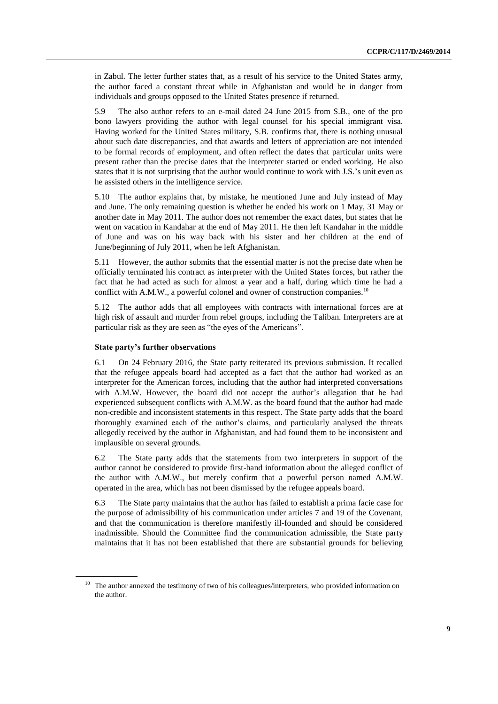in Zabul. The letter further states that, as a result of his service to the United States army, the author faced a constant threat while in Afghanistan and would be in danger from individuals and groups opposed to the United States presence if returned.

5.9 The also author refers to an e-mail dated 24 June 2015 from S.B., one of the pro bono lawyers providing the author with legal counsel for his special immigrant visa. Having worked for the United States military, S.B. confirms that, there is nothing unusual about such date discrepancies, and that awards and letters of appreciation are not intended to be formal records of employment, and often reflect the dates that particular units were present rather than the precise dates that the interpreter started or ended working. He also states that it is not surprising that the author would continue to work with J.S.'s unit even as he assisted others in the intelligence service.

5.10 The author explains that, by mistake, he mentioned June and July instead of May and June. The only remaining question is whether he ended his work on 1 May, 31 May or another date in May 2011. The author does not remember the exact dates, but states that he went on vacation in Kandahar at the end of May 2011. He then left Kandahar in the middle of June and was on his way back with his sister and her children at the end of June/beginning of July 2011, when he left Afghanistan.

5.11 However, the author submits that the essential matter is not the precise date when he officially terminated his contract as interpreter with the United States forces, but rather the fact that he had acted as such for almost a year and a half, during which time he had a conflict with A.M.W., a powerful colonel and owner of construction companies.<sup>10</sup>

5.12 The author adds that all employees with contracts with international forces are at high risk of assault and murder from rebel groups, including the Taliban. Interpreters are at particular risk as they are seen as "the eyes of the Americans".

#### **State party's further observations**

6.1 On 24 February 2016, the State party reiterated its previous submission. It recalled that the refugee appeals board had accepted as a fact that the author had worked as an interpreter for the American forces, including that the author had interpreted conversations with A.M.W. However, the board did not accept the author's allegation that he had experienced subsequent conflicts with A.M.W. as the board found that the author had made non-credible and inconsistent statements in this respect. The State party adds that the board thoroughly examined each of the author's claims, and particularly analysed the threats allegedly received by the author in Afghanistan, and had found them to be inconsistent and implausible on several grounds.

6.2 The State party adds that the statements from two interpreters in support of the author cannot be considered to provide first-hand information about the alleged conflict of the author with A.M.W., but merely confirm that a powerful person named A.M.W. operated in the area, which has not been dismissed by the refugee appeals board.

6.3 The State party maintains that the author has failed to establish a prima facie case for the purpose of admissibility of his communication under articles 7 and 19 of the Covenant, and that the communication is therefore manifestly ill-founded and should be considered inadmissible. Should the Committee find the communication admissible, the State party maintains that it has not been established that there are substantial grounds for believing

<sup>&</sup>lt;sup>10</sup> The author annexed the testimony of two of his colleagues/interpreters, who provided information on the author.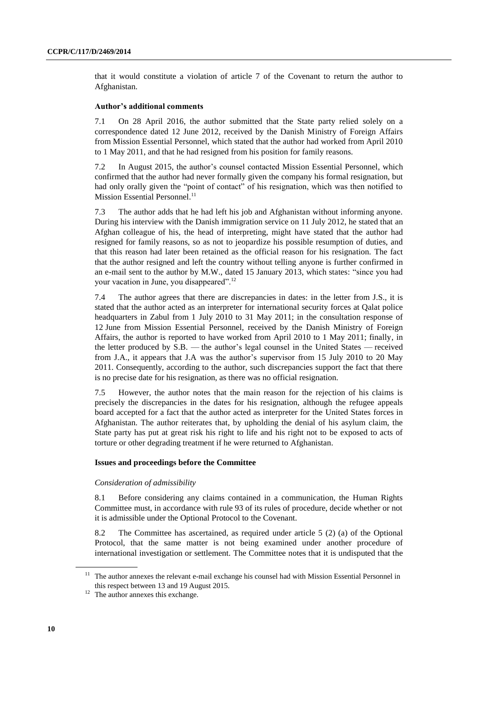that it would constitute a violation of article 7 of the Covenant to return the author to Afghanistan.

#### **Author's additional comments**

7.1 On 28 April 2016, the author submitted that the State party relied solely on a correspondence dated 12 June 2012, received by the Danish Ministry of Foreign Affairs from Mission Essential Personnel, which stated that the author had worked from April 2010 to 1 May 2011, and that he had resigned from his position for family reasons.

7.2 In August 2015, the author's counsel contacted Mission Essential Personnel, which confirmed that the author had never formally given the company his formal resignation, but had only orally given the "point of contact" of his resignation, which was then notified to Mission Essential Personnel.<sup>11</sup>

7.3 The author adds that he had left his job and Afghanistan without informing anyone. During his interview with the Danish immigration service on 11 July 2012, he stated that an Afghan colleague of his, the head of interpreting, might have stated that the author had resigned for family reasons, so as not to jeopardize his possible resumption of duties, and that this reason had later been retained as the official reason for his resignation. The fact that the author resigned and left the country without telling anyone is further confirmed in an e-mail sent to the author by M.W., dated 15 January 2013, which states: "since you had your vacation in June, you disappeared".<sup>12</sup>

7.4 The author agrees that there are discrepancies in dates: in the letter from J.S., it is stated that the author acted as an interpreter for international security forces at Qalat police headquarters in Zabul from 1 July 2010 to 31 May 2011; in the consultation response of 12 June from Mission Essential Personnel, received by the Danish Ministry of Foreign Affairs, the author is reported to have worked from April 2010 to 1 May 2011; finally, in the letter produced by S.B. — the author's legal counsel in the United States — received from J.A., it appears that J.A was the author's supervisor from 15 July 2010 to 20 May 2011. Consequently, according to the author, such discrepancies support the fact that there is no precise date for his resignation, as there was no official resignation.

7.5 However, the author notes that the main reason for the rejection of his claims is precisely the discrepancies in the dates for his resignation, although the refugee appeals board accepted for a fact that the author acted as interpreter for the United States forces in Afghanistan. The author reiterates that, by upholding the denial of his asylum claim, the State party has put at great risk his right to life and his right not to be exposed to acts of torture or other degrading treatment if he were returned to Afghanistan.

#### **Issues and proceedings before the Committee**

#### *Consideration of admissibility*

8.1 Before considering any claims contained in a communication, the Human Rights Committee must, in accordance with rule 93 of its rules of procedure, decide whether or not it is admissible under the Optional Protocol to the Covenant.

8.2 The Committee has ascertained, as required under article 5 (2) (a) of the Optional Protocol, that the same matter is not being examined under another procedure of international investigation or settlement. The Committee notes that it is undisputed that the

<sup>&</sup>lt;sup>11</sup> The author annexes the relevant e-mail exchange his counsel had with Mission Essential Personnel in this respect between 13 and 19 August 2015.

<sup>&</sup>lt;sup>12</sup> The author annexes this exchange.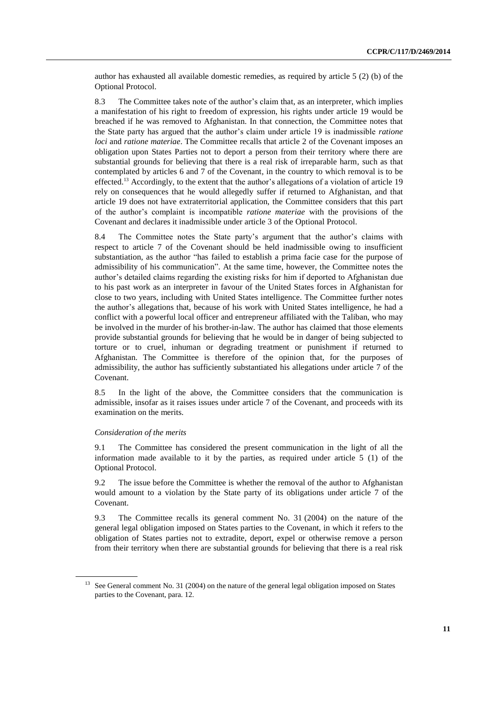author has exhausted all available domestic remedies, as required by article 5 (2) (b) of the Optional Protocol.

8.3 The Committee takes note of the author's claim that, as an interpreter, which implies a manifestation of his right to freedom of expression, his rights under article 19 would be breached if he was removed to Afghanistan. In that connection, the Committee notes that the State party has argued that the author's claim under article 19 is inadmissible *ratione loci* and *ratione materiae*. The Committee recalls that article 2 of the Covenant imposes an obligation upon States Parties not to deport a person from their territory where there are substantial grounds for believing that there is a real risk of irreparable harm*,* such as that contemplated by articles 6 and 7 of the Covenant, in the country to which removal is to be effected.<sup>13</sup> Accordingly, to the extent that the author's allegations of a violation of article 19 rely on consequences that he would allegedly suffer if returned to Afghanistan, and that article 19 does not have extraterritorial application, the Committee considers that this part of the author's complaint is incompatible *ratione materiae* with the provisions of the Covenant and declares it inadmissible under article 3 of the Optional Protocol.

8.4 The Committee notes the State party's argument that the author's claims with respect to article 7 of the Covenant should be held inadmissible owing to insufficient substantiation, as the author "has failed to establish a prima facie case for the purpose of admissibility of his communication". At the same time, however, the Committee notes the author's detailed claims regarding the existing risks for him if deported to Afghanistan due to his past work as an interpreter in favour of the United States forces in Afghanistan for close to two years, including with United States intelligence. The Committee further notes the author's allegations that, because of his work with United States intelligence, he had a conflict with a powerful local officer and entrepreneur affiliated with the Taliban, who may be involved in the murder of his brother-in-law. The author has claimed that those elements provide substantial grounds for believing that he would be in danger of being subjected to torture or to cruel, inhuman or degrading treatment or punishment if returned to Afghanistan. The Committee is therefore of the opinion that, for the purposes of admissibility, the author has sufficiently substantiated his allegations under article 7 of the Covenant.

8.5 In the light of the above, the Committee considers that the communication is admissible, insofar as it raises issues under article 7 of the Covenant, and proceeds with its examination on the merits.

#### *Consideration of the merits*

9.1 The Committee has considered the present communication in the light of all the information made available to it by the parties, as required under article  $5(1)$  of the Optional Protocol.

9.2 The issue before the Committee is whether the removal of the author to Afghanistan would amount to a violation by the State party of its obligations under article 7 of the Covenant.

9.3 The Committee recalls its general comment No. 31 (2004) on the nature of the general legal obligation imposed on States parties to the Covenant, in which it refers to the obligation of States parties not to extradite, deport, expel or otherwise remove a person from their territory when there are substantial grounds for believing that there is a real risk

<sup>&</sup>lt;sup>13</sup> See General comment No. 31 (2004) on the nature of the general legal obligation imposed on States parties to the Covenant, para. 12.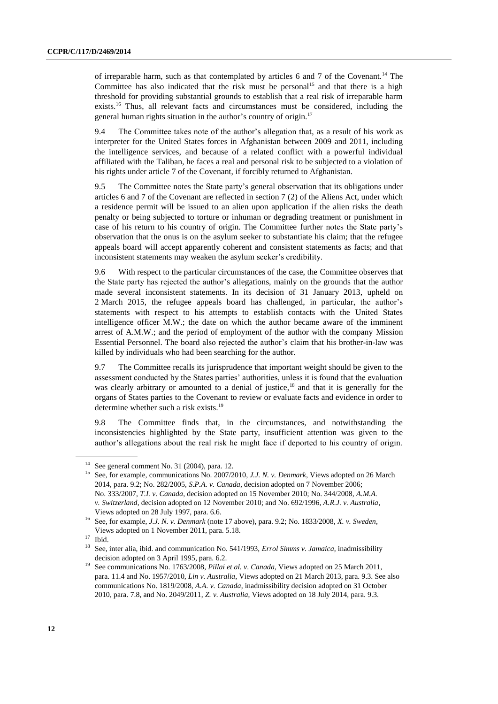of irreparable harm, such as that contemplated by articles 6 and 7 of the Covenant.<sup>14</sup> The Committee has also indicated that the risk must be personal<sup>15</sup> and that there is a high threshold for providing substantial grounds to establish that a real risk of irreparable harm exists.<sup>16</sup> Thus, all relevant facts and circumstances must be considered, including the general human rights situation in the author's country of origin.<sup>17</sup>

9.4 The Committee takes note of the author's allegation that, as a result of his work as interpreter for the United States forces in Afghanistan between 2009 and 2011, including the intelligence services, and because of a related conflict with a powerful individual affiliated with the Taliban, he faces a real and personal risk to be subjected to a violation of his rights under article 7 of the Covenant, if forcibly returned to Afghanistan.

9.5 The Committee notes the State party's general observation that its obligations under articles 6 and 7 of the Covenant are reflected in section 7 (2) of the Aliens Act, under which a residence permit will be issued to an alien upon application if the alien risks the death penalty or being subjected to torture or inhuman or degrading treatment or punishment in case of his return to his country of origin. The Committee further notes the State party's observation that the onus is on the asylum seeker to substantiate his claim; that the refugee appeals board will accept apparently coherent and consistent statements as facts; and that inconsistent statements may weaken the asylum seeker's credibility.

9.6 With respect to the particular circumstances of the case, the Committee observes that the State party has rejected the author's allegations, mainly on the grounds that the author made several inconsistent statements. In its decision of 31 January 2013, upheld on 2 March 2015, the refugee appeals board has challenged, in particular, the author's statements with respect to his attempts to establish contacts with the United States intelligence officer M.W.; the date on which the author became aware of the imminent arrest of A.M.W.; and the period of employment of the author with the company Mission Essential Personnel. The board also rejected the author's claim that his brother-in-law was killed by individuals who had been searching for the author.

9.7 The Committee recalls its jurisprudence that important weight should be given to the assessment conducted by the States parties' authorities, unless it is found that the evaluation was clearly arbitrary or amounted to a denial of justice, $18$  and that it is generally for the organs of States parties to the Covenant to review or evaluate facts and evidence in order to determine whether such a risk exists.<sup>19</sup>

9.8 The Committee finds that, in the circumstances, and notwithstanding the inconsistencies highlighted by the State party, insufficient attention was given to the author's allegations about the real risk he might face if deported to his country of origin.

See general comment No. 31 (2004), para. 12.

<sup>15</sup> See, for example, communications No. 2007/2010, *J.J. N. v. Denmark*, Views adopted on 26 March 2014, para. 9.2; No. 282/2005, *S.P.A. v. Canada*, decision adopted on 7 November 2006; No. 333/2007, *T.I. v. Canada*, decision adopted on 15 November 2010; No. 344/2008, *A.M.A. v. Switzerland*, decision adopted on 12 November 2010; and No. 692/1996, *A.R.J. v. Australia*, Views adopted on 28 July 1997, para. 6.6.

<sup>16</sup> See, for example, *J.J. N. v. Denmark* (note 17 above), para. 9.2; No. 1833/2008*, X. v. Sweden*, Views adopted on 1 November 2011, para. 5.18.

 $\frac{17}{18}$  Ibid.

<sup>18</sup> See, inter alia, ibid. and communication No. 541/1993, *Errol Simms v. Jamaica*, inadmissibility decision adopted on 3 April 1995, para. 6.2.

<sup>&</sup>lt;sup>19</sup> See communications No. 1763/2008, *Pillai et al. v. Canada*, Views adopted on 25 March 2011, para. 11.4 and No. 1957/2010, *Lin v. Australia*, Views adopted on 21 March 2013, para. 9.3. See also communications No. 1819/2008, *A.A. v. Canada*, inadmissibility decision adopted on 31 October 2010, para. 7.8, and No. 2049/2011, *Z. v. Australia*, Views adopted on 18 July 2014, para. 9.3.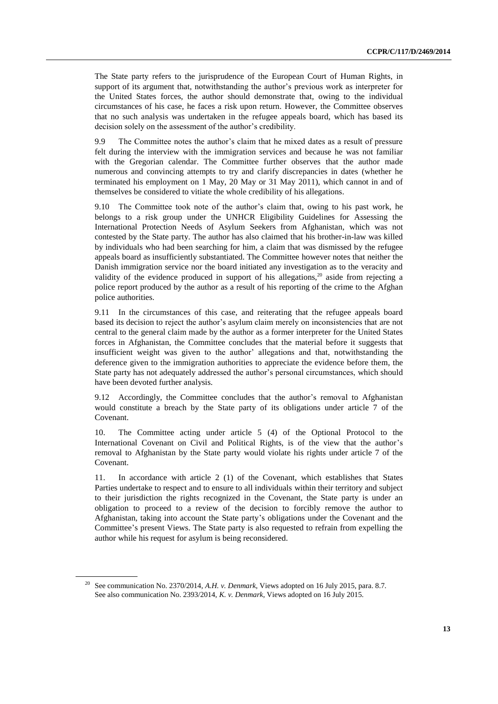The State party refers to the jurisprudence of the European Court of Human Rights, in support of its argument that, notwithstanding the author's previous work as interpreter for the United States forces, the author should demonstrate that, owing to the individual circumstances of his case, he faces a risk upon return. However, the Committee observes that no such analysis was undertaken in the refugee appeals board, which has based its decision solely on the assessment of the author's credibility.

9.9 The Committee notes the author's claim that he mixed dates as a result of pressure felt during the interview with the immigration services and because he was not familiar with the Gregorian calendar. The Committee further observes that the author made numerous and convincing attempts to try and clarify discrepancies in dates (whether he terminated his employment on 1 May, 20 May or 31 May 2011), which cannot in and of themselves be considered to vitiate the whole credibility of his allegations.

9.10 The Committee took note of the author's claim that, owing to his past work, he belongs to a risk group under the UNHCR Eligibility Guidelines for Assessing the International Protection Needs of Asylum Seekers from Afghanistan, which was not contested by the State party. The author has also claimed that his brother-in-law was killed by individuals who had been searching for him, a claim that was dismissed by the refugee appeals board as insufficiently substantiated. The Committee however notes that neither the Danish immigration service nor the board initiated any investigation as to the veracity and validity of the evidence produced in support of his allegations, $20$  aside from rejecting a police report produced by the author as a result of his reporting of the crime to the Afghan police authorities.

9.11 In the circumstances of this case, and reiterating that the refugee appeals board based its decision to reject the author's asylum claim merely on inconsistencies that are not central to the general claim made by the author as a former interpreter for the United States forces in Afghanistan, the Committee concludes that the material before it suggests that insufficient weight was given to the author' allegations and that, notwithstanding the deference given to the immigration authorities to appreciate the evidence before them, the State party has not adequately addressed the author's personal circumstances, which should have been devoted further analysis.

9.12 Accordingly, the Committee concludes that the author's removal to Afghanistan would constitute a breach by the State party of its obligations under article 7 of the Covenant.

10. The Committee acting under article 5 (4) of the Optional Protocol to the International Covenant on Civil and Political Rights, is of the view that the author's removal to Afghanistan by the State party would violate his rights under article 7 of the Covenant.

11. In accordance with article 2 (1) of the Covenant, which establishes that States Parties undertake to respect and to ensure to all individuals within their territory and subject to their jurisdiction the rights recognized in the Covenant, the State party is under an obligation to proceed to a review of the decision to forcibly remove the author to Afghanistan, taking into account the State party's obligations under the Covenant and the Committee's present Views. The State party is also requested to refrain from expelling the author while his request for asylum is being reconsidered.

<sup>20</sup> See communication No. 2370/2014, *A.H. v. Denmark*, Views adopted on 16 July 2015, para. 8.7. See also communication No. 2393/2014, *K. v. Denmark*, Views adopted on 16 July 2015.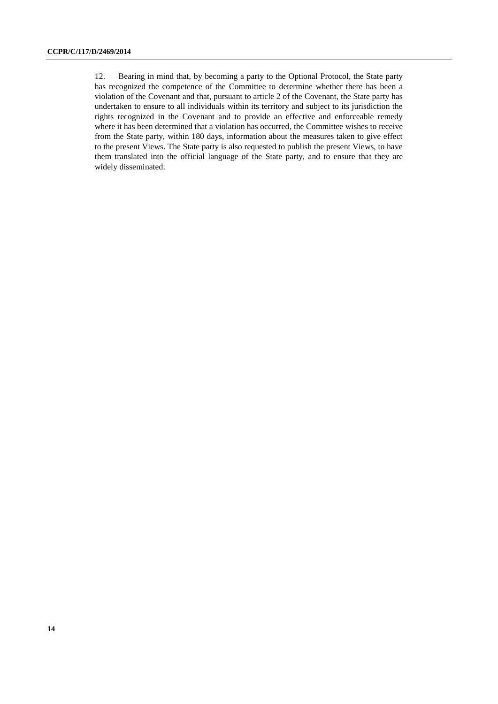12. Bearing in mind that, by becoming a party to the Optional Protocol, the State party has recognized the competence of the Committee to determine whether there has been a violation of the Covenant and that, pursuant to article 2 of the Covenant, the State party has undertaken to ensure to all individuals within its territory and subject to its jurisdiction the rights recognized in the Covenant and to provide an effective and enforceable remedy where it has been determined that a violation has occurred, the Committee wishes to receive from the State party, within 180 days, information about the measures taken to give effect to the present Views. The State party is also requested to publish the present Views, to have them translated into the official language of the State party, and to ensure that they are widely disseminated.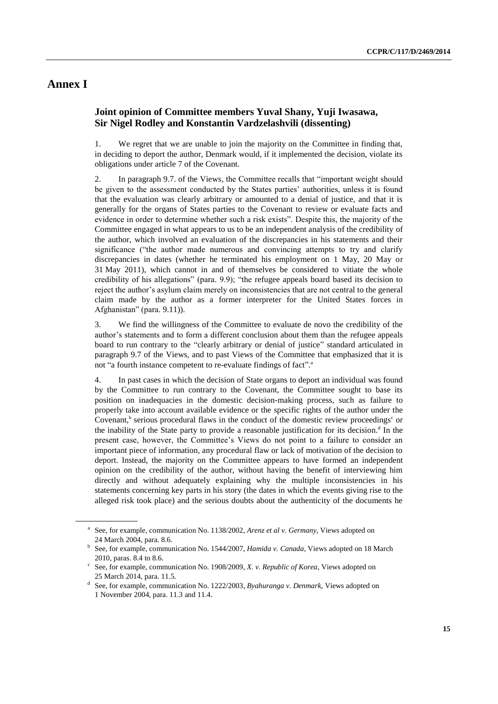### **Annex I**

### **Joint opinion of Committee members Yuval Shany, Yuji Iwasawa, Sir Nigel Rodley and Konstantin Vardzelashvili (dissenting)**

1. We regret that we are unable to join the majority on the Committee in finding that, in deciding to deport the author, Denmark would, if it implemented the decision, violate its obligations under article 7 of the Covenant.

2. In paragraph 9.7. of the Views, the Committee recalls that "important weight should be given to the assessment conducted by the States parties' authorities, unless it is found that the evaluation was clearly arbitrary or amounted to a denial of justice, and that it is generally for the organs of States parties to the Covenant to review or evaluate facts and evidence in order to determine whether such a risk exists". Despite this, the majority of the Committee engaged in what appears to us to be an independent analysis of the credibility of the author, which involved an evaluation of the discrepancies in his statements and their significance ("the author made numerous and convincing attempts to try and clarify discrepancies in dates (whether he terminated his employment on 1 May, 20 May or 31 May 2011), which cannot in and of themselves be considered to vitiate the whole credibility of his allegations" (para. 9.9); "the refugee appeals board based its decision to reject the author's asylum claim merely on inconsistencies that are not central to the general claim made by the author as a former interpreter for the United States forces in Afghanistan" (para. 9.11)).

3. We find the willingness of the Committee to evaluate de novo the credibility of the author's statements and to form a different conclusion about them than the refugee appeals board to run contrary to the "clearly arbitrary or denial of justice" standard articulated in paragraph 9.7 of the Views, and to past Views of the Committee that emphasized that it is not "a fourth instance competent to re-evaluate findings of fact".<sup>a</sup>

4. In past cases in which the decision of State organs to deport an individual was found by the Committee to run contrary to the Covenant, the Committee sought to base its position on inadequacies in the domestic decision-making process, such as failure to properly take into account available evidence or the specific rights of the author under the Covenant,<sup>b</sup> serious procedural flaws in the conduct of the domestic review proceedings<sup>c</sup> or the inability of the State party to provide a reasonable justification for its decision.<sup>d</sup> In the present case, however, the Committee's Views do not point to a failure to consider an important piece of information, any procedural flaw or lack of motivation of the decision to deport. Instead, the majority on the Committee appears to have formed an independent opinion on the credibility of the author, without having the benefit of interviewing him directly and without adequately explaining why the multiple inconsistencies in his statements concerning key parts in his story (the dates in which the events giving rise to the alleged risk took place) and the serious doubts about the authenticity of the documents he

<sup>&</sup>lt;sup>a</sup> See, for example, communication No. 1138/2002, *Arenz et al v. Germany*, Views adopted on 24 March 2004, para. 8.6.

<sup>&</sup>lt;sup>b</sup> See, for example, communication No. 1544/2007, *Hamida v. Canada*, Views adopted on 18 March 2010, paras. 8.4 to 8.6.

c See, for example, communication No. 1908/2009, *X. v. Republic of Korea*, Views adopted on 25 March 2014, para. 11.5.

d See, for example, communication No. 1222/2003, *Byahuranga v. Denmark*, Views adopted on 1 November 2004, para. 11.3 and 11.4.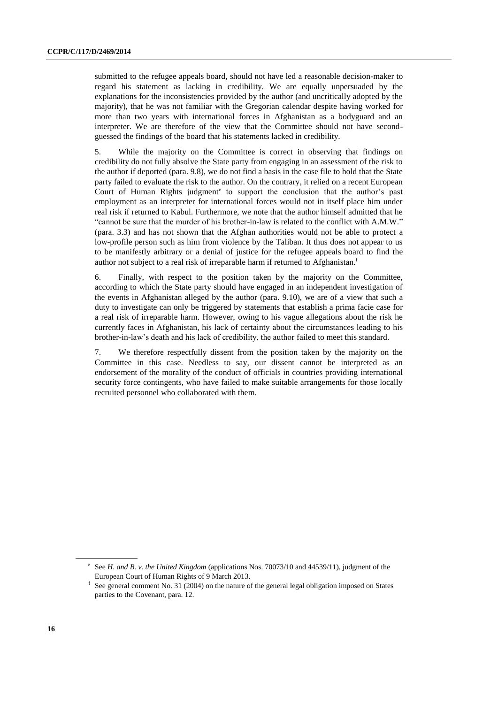submitted to the refugee appeals board, should not have led a reasonable decision-maker to regard his statement as lacking in credibility. We are equally unpersuaded by the explanations for the inconsistencies provided by the author (and uncritically adopted by the majority), that he was not familiar with the Gregorian calendar despite having worked for more than two years with international forces in Afghanistan as a bodyguard and an interpreter. We are therefore of the view that the Committee should not have secondguessed the findings of the board that his statements lacked in credibility.

5. While the majority on the Committee is correct in observing that findings on credibility do not fully absolve the State party from engaging in an assessment of the risk to the author if deported (para. 9.8), we do not find a basis in the case file to hold that the State party failed to evaluate the risk to the author. On the contrary, it relied on a recent European Court of Human Rights judgment<sup>e</sup> to support the conclusion that the author's past employment as an interpreter for international forces would not in itself place him under real risk if returned to Kabul. Furthermore, we note that the author himself admitted that he "cannot be sure that the murder of his brother-in-law is related to the conflict with A.M.W." (para. 3.3) and has not shown that the Afghan authorities would not be able to protect a low-profile person such as him from violence by the Taliban. It thus does not appear to us to be manifestly arbitrary or a denial of justice for the refugee appeals board to find the author not subject to a real risk of irreparable harm if returned to Afghanistan.<sup>f</sup>

6. Finally, with respect to the position taken by the majority on the Committee, according to which the State party should have engaged in an independent investigation of the events in Afghanistan alleged by the author (para. 9.10), we are of a view that such a duty to investigate can only be triggered by statements that establish a prima facie case for a real risk of irreparable harm. However, owing to his vague allegations about the risk he currently faces in Afghanistan, his lack of certainty about the circumstances leading to his brother-in-law's death and his lack of credibility, the author failed to meet this standard.

7. We therefore respectfully dissent from the position taken by the majority on the Committee in this case. Needless to say, our dissent cannot be interpreted as an endorsement of the morality of the conduct of officials in countries providing international security force contingents, who have failed to make suitable arrangements for those locally recruited personnel who collaborated with them.

<sup>&</sup>lt;sup>e</sup> See *H. and B. v. the United Kingdom* (applications Nos. 70073/10 and 44539/11), judgment of the European Court of Human Rights of 9 March 2013.

<sup>&</sup>lt;sup>f</sup> See general comment No. 31 (2004) on the nature of the general legal obligation imposed on States parties to the Covenant, para. 12.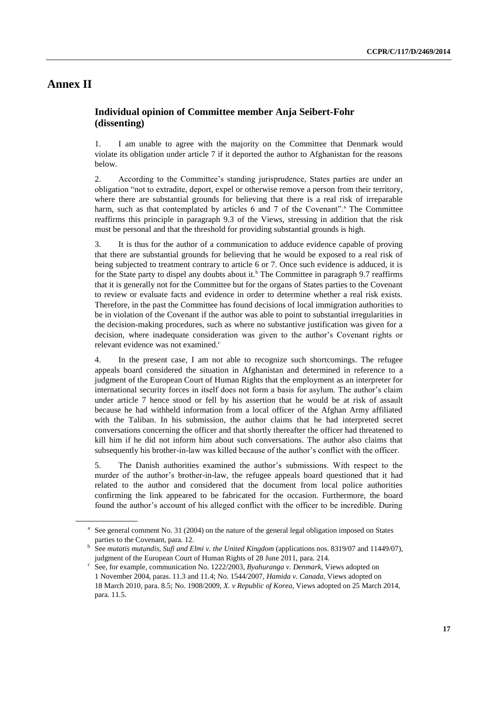### **Annex II**

### **Individual opinion of Committee member Anja Seibert-Fohr (dissenting)**

1. I am unable to agree with the majority on the Committee that Denmark would violate its obligation under article 7 if it deported the author to Afghanistan for the reasons below.

2. According to the Committee's standing jurisprudence, States parties are under an obligation "not to extradite, deport, expel or otherwise remove a person from their territory, where there are substantial grounds for believing that there is a real risk of irreparable harm, such as that contemplated by articles  $6$  and  $7$  of the Covenant".<sup>a</sup> The Committee reaffirms this principle in paragraph 9.3 of the Views, stressing in addition that the risk must be personal and that the threshold for providing substantial grounds is high.

3. It is thus for the author of a communication to adduce evidence capable of proving that there are substantial grounds for believing that he would be exposed to a real risk of being subjected to treatment contrary to article 6 or 7. Once such evidence is adduced, it is for the State party to dispel any doubts about it.<sup>b</sup> The Committee in paragraph 9.7 reaffirms that it is generally not for the Committee but for the organs of States parties to the Covenant to review or evaluate facts and evidence in order to determine whether a real risk exists. Therefore, in the past the Committee has found decisions of local immigration authorities to be in violation of the Covenant if the author was able to point to substantial irregularities in the decision-making procedures, such as where no substantive justification was given for a decision, where inadequate consideration was given to the author's Covenant rights or relevant evidence was not examined.<sup>c</sup>

4. In the present case, I am not able to recognize such shortcomings. The refugee appeals board considered the situation in Afghanistan and determined in reference to a judgment of the European Court of Human Rights that the employment as an interpreter for international security forces in itself does not form a basis for asylum. The author's claim under article 7 hence stood or fell by his assertion that he would be at risk of assault because he had withheld information from a local officer of the Afghan Army affiliated with the Taliban. In his submission, the author claims that he had interpreted secret conversations concerning the officer and that shortly thereafter the officer had threatened to kill him if he did not inform him about such conversations. The author also claims that subsequently his brother-in-law was killed because of the author's conflict with the officer.

5. The Danish authorities examined the author's submissions. With respect to the murder of the author's brother-in-law, the refugee appeals board questioned that it had related to the author and considered that the document from local police authorities confirming the link appeared to be fabricated for the occasion. Furthermore, the board found the author's account of his alleged conflict with the officer to be incredible. During

<sup>&</sup>lt;sup>a</sup> See general comment No. 31 (2004) on the nature of the general legal obligation imposed on States parties to the Covenant, para. 12.

<sup>&</sup>lt;sup>b</sup> See *mutatis mutandis*, *Sufi and Elmi v. the United Kingdom* (applications nos[. 8319/07](http://hudoc.echr.coe.int/eng#{) an[d 11449/07\)](http://hudoc.echr.coe.int/eng#{), judgment of the European Court of Human Rights of 28 June 2011, para. 214.

c See, for example, communication No. 1222/2003, *Byahuranga v. Denmark*, Views adopted on 1 November 2004, paras. 11.3 and 11.4; No. 1544/2007, *Hamida v. Canada*, Views adopted on 18 March 2010, para. 8.5; No. 1908/2009, *X. v Republic of Korea*, Views adopted on 25 March 2014, para. 11.5.